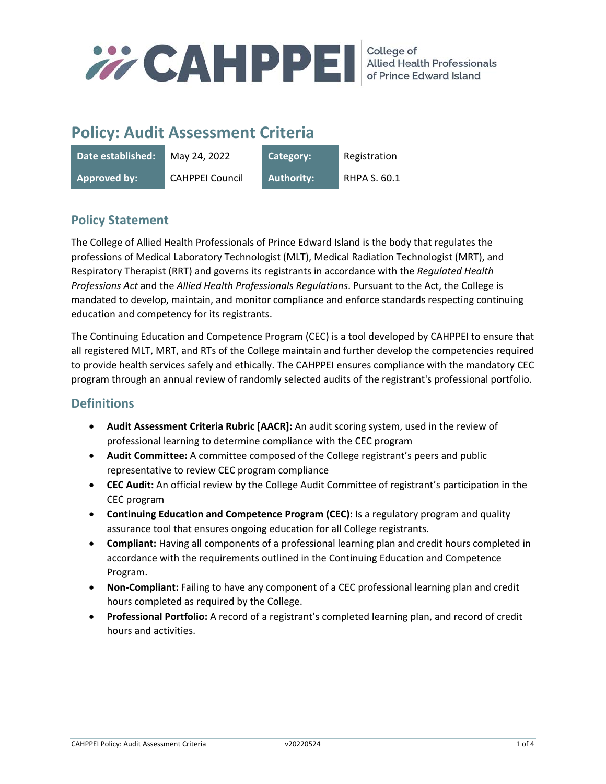

# **Policy: Audit Assessment Criteria**

| Date established: | May 24, 2022    | Category:         | Registration |
|-------------------|-----------------|-------------------|--------------|
| Approved by:      | CAHPPEI Council | <b>Authority:</b> | RHPA S. 60.1 |

# **Policy Statement**

The College of Allied Health Professionals of Prince Edward Island is the body that regulates the professions of Medical Laboratory Technologist (MLT), Medical Radiation Technologist (MRT), and Respiratory Therapist (RRT) and governs its registrants in accordance with the *Regulated Health Professions Act* and the *Allied Health Professionals Regulations*. Pursuant to the Act, the College is mandated to develop, maintain, and monitor compliance and enforce standards respecting continuing education and competency for its registrants.

The Continuing Education and Competence Program (CEC) is a tool developed by CAHPPEI to ensure that all registered MLT, MRT, and RTs of the College maintain and further develop the competencies required to provide health services safely and ethically. The CAHPPEI ensures compliance with the mandatory CEC program through an annual review of randomly selected audits of the registrant's professional portfolio.

# **Definitions**

- **Audit Assessment Criteria Rubric [AACR]:** An audit scoring system, used in the review of professional learning to determine compliance with the CEC program
- **Audit Committee:** A committee composed of the College registrant's peers and public representative to review CEC program compliance
- **CEC Audit:** An official review by the College Audit Committee of registrant's participation in the CEC program
- **Continuing Education and Competence Program (CEC):** Is a regulatory program and quality assurance tool that ensures ongoing education for all College registrants.
- **Compliant:** Having all components of a professional learning plan and credit hours completed in accordance with the requirements outlined in the Continuing Education and Competence Program.
- **Non‐Compliant:** Failing to have any component of a CEC professional learning plan and credit hours completed as required by the College.
- **Professional Portfolio:** A record of a registrant's completed learning plan, and record of credit hours and activities.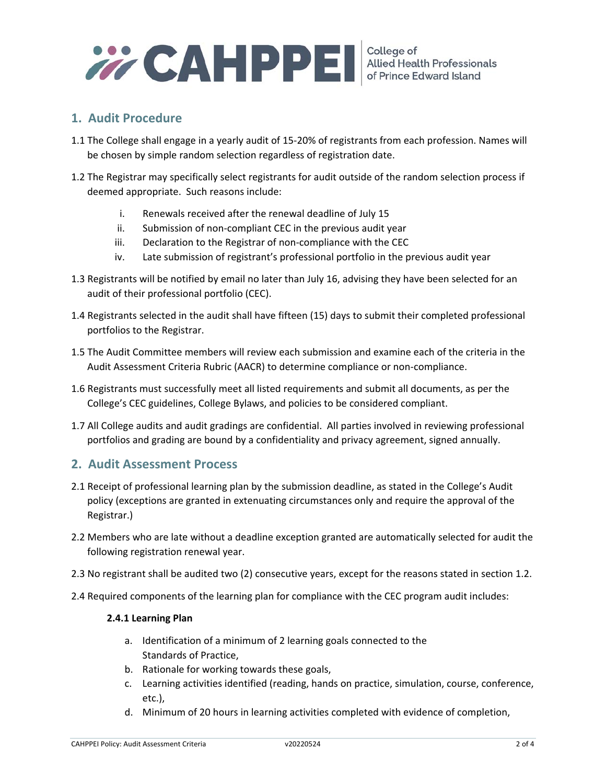

# **1. Audit Procedure**

- 1.1 The College shall engage in a yearly audit of 15‐20% of registrants from each profession. Names will be chosen by simple random selection regardless of registration date.
- 1.2 The Registrar may specifically select registrants for audit outside of the random selection process if deemed appropriate. Such reasons include:
	- i. Renewals received after the renewal deadline of July 15
	- ii. Submission of non‐compliant CEC in the previous audit year
	- iii. Declaration to the Registrar of non-compliance with the CEC
	- iv. Late submission of registrant's professional portfolio in the previous audit year
- 1.3 Registrants will be notified by email no later than July 16, advising they have been selected for an audit of their professional portfolio (CEC).
- 1.4 Registrants selected in the audit shall have fifteen (15) days to submit their completed professional portfolios to the Registrar.
- 1.5 The Audit Committee members will review each submission and examine each of the criteria in the Audit Assessment Criteria Rubric (AACR) to determine compliance or non-compliance.
- 1.6 Registrants must successfully meet all listed requirements and submit all documents, as per the College's CEC guidelines, College Bylaws, and policies to be considered compliant.
- 1.7 All College audits and audit gradings are confidential. All parties involved in reviewing professional portfolios and grading are bound by a confidentiality and privacy agreement, signed annually.

# **2. Audit Assessment Process**

- 2.1 Receipt of professional learning plan by the submission deadline, as stated in the College's Audit policy (exceptions are granted in extenuating circumstances only and require the approval of the Registrar.)
- 2.2 Members who are late without a deadline exception granted are automatically selected for audit the following registration renewal year.
- 2.3 No registrant shall be audited two (2) consecutive years, except for the reasons stated in section 1.2.
- 2.4 Required components of the learning plan for compliance with the CEC program audit includes:

#### **2.4.1 Learning Plan**

- a. Identification of a minimum of 2 learning goals connected to the Standards of Practice,
- b. Rationale for working towards these goals,
- c. Learning activities identified (reading, hands on practice, simulation, course, conference, etc.),
- d. Minimum of 20 hours in learning activities completed with evidence of completion,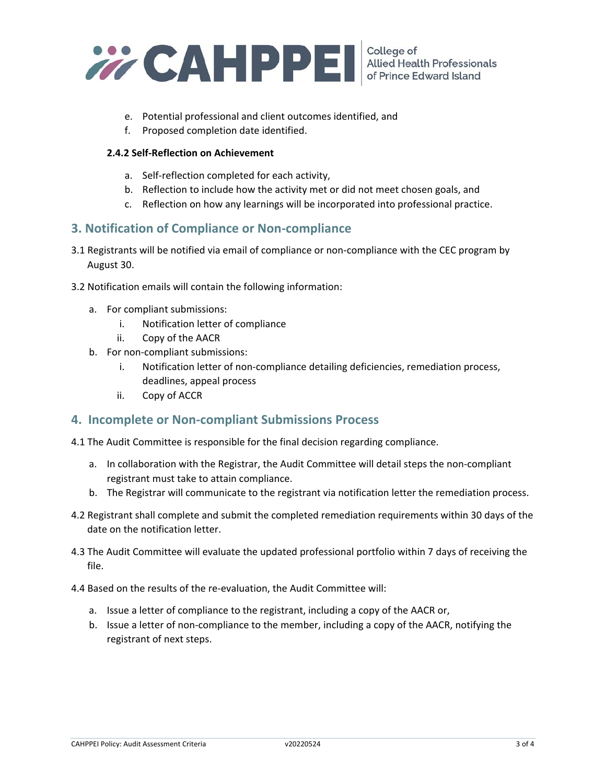

- e. Potential professional and client outcomes identified, and
- f. Proposed completion date identified.

#### **2.4.2 Self‐Reflection on Achievement**

- a. Self‐reflection completed for each activity,
- b. Reflection to include how the activity met or did not meet chosen goals, and
- c. Reflection on how any learnings will be incorporated into professional practice.

## **3. Notification of Compliance or Non‐compliance**

- 3.1 Registrants will be notified via email of compliance or non‐compliance with the CEC program by August 30.
- 3.2 Notification emails will contain the following information:
	- a. For compliant submissions:
		- i. Notification letter of compliance
		- ii. Copy of the AACR
	- b. For non‐compliant submissions:
		- i. Notification letter of non‐compliance detailing deficiencies, remediation process, deadlines, appeal process
		- ii. Copy of ACCR

### **4. Incomplete or Non‐compliant Submissions Process**

- 4.1 The Audit Committee is responsible for the final decision regarding compliance.
	- a. In collaboration with the Registrar, the Audit Committee will detail steps the non‐compliant registrant must take to attain compliance.
	- b. The Registrar will communicate to the registrant via notification letter the remediation process.
- 4.2 Registrant shall complete and submit the completed remediation requirements within 30 days of the date on the notification letter.
- 4.3 The Audit Committee will evaluate the updated professional portfolio within 7 days of receiving the file.
- 4.4 Based on the results of the re‐evaluation, the Audit Committee will:
	- a. Issue a letter of compliance to the registrant, including a copy of the AACR or,
	- b. Issue a letter of non‐compliance to the member, including a copy of the AACR, notifying the registrant of next steps.